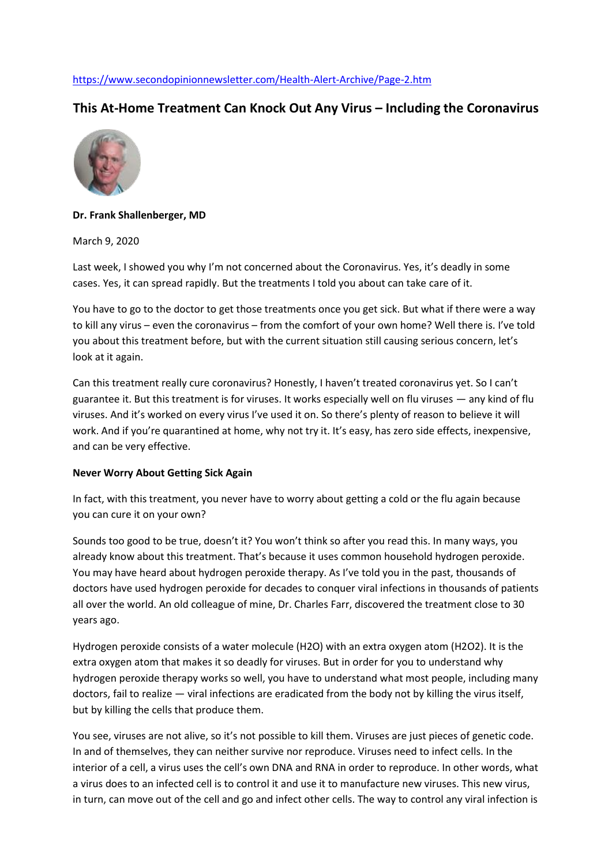## <https://www.secondopinionnewsletter.com/Health-Alert-Archive/Page-2.htm>

# **This At-Home Treatment Can Knock Out Any Virus – Including the Coronavirus**



## **Dr. Frank Shallenberger, MD**

March 9, 2020

Last week, I showed you why I'm not concerned about the Coronavirus. Yes, it's deadly in some cases. Yes, it can spread rapidly. But the treatments I told you about can take care of it.

You have to go to the doctor to get those treatments once you get sick. But what if there were a way to kill any virus – even the coronavirus – from the comfort of your own home? Well there is. I've told you about this treatment before, but with the current situation still causing serious concern, let's look at it again.

Can this treatment really cure coronavirus? Honestly, I haven't treated coronavirus yet. So I can't guarantee it. But this treatment is for viruses. It works especially well on flu viruses — any kind of flu viruses. And it's worked on every virus I've used it on. So there's plenty of reason to believe it will work. And if you're quarantined at home, why not try it. It's easy, has zero side effects, inexpensive, and can be very effective.

#### **Never Worry About Getting Sick Again**

In fact, with this treatment, you never have to worry about getting a cold or the flu again because you can cure it on your own?

Sounds too good to be true, doesn't it? You won't think so after you read this. In many ways, you already know about this treatment. That's because it uses common household hydrogen peroxide. You may have heard about hydrogen peroxide therapy. As I've told you in the past, thousands of doctors have used hydrogen peroxide for decades to conquer viral infections in thousands of patients all over the world. An old colleague of mine, Dr. Charles Farr, discovered the treatment close to 30 years ago.

Hydrogen peroxide consists of a water molecule (H2O) with an extra oxygen atom (H2O2). It is the extra oxygen atom that makes it so deadly for viruses. But in order for you to understand why hydrogen peroxide therapy works so well, you have to understand what most people, including many doctors, fail to realize — viral infections are eradicated from the body not by killing the virus itself, but by killing the cells that produce them.

You see, viruses are not alive, so it's not possible to kill them. Viruses are just pieces of genetic code. In and of themselves, they can neither survive nor reproduce. Viruses need to infect cells. In the interior of a cell, a virus uses the cell's own DNA and RNA in order to reproduce. In other words, what a virus does to an infected cell is to control it and use it to manufacture new viruses. This new virus, in turn, can move out of the cell and go and infect other cells. The way to control any viral infection is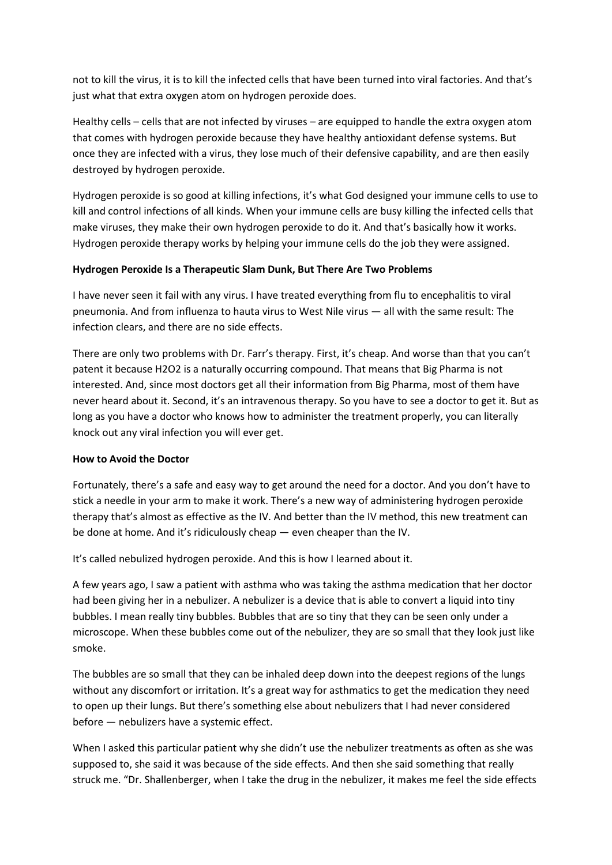not to kill the virus, it is to kill the infected cells that have been turned into viral factories. And that's just what that extra oxygen atom on hydrogen peroxide does.

Healthy cells – cells that are not infected by viruses – are equipped to handle the extra oxygen atom that comes with hydrogen peroxide because they have healthy antioxidant defense systems. But once they are infected with a virus, they lose much of their defensive capability, and are then easily destroyed by hydrogen peroxide.

Hydrogen peroxide is so good at killing infections, it's what God designed your immune cells to use to kill and control infections of all kinds. When your immune cells are busy killing the infected cells that make viruses, they make their own hydrogen peroxide to do it. And that's basically how it works. Hydrogen peroxide therapy works by helping your immune cells do the job they were assigned.

## **Hydrogen Peroxide Is a Therapeutic Slam Dunk, But There Are Two Problems**

I have never seen it fail with any virus. I have treated everything from flu to encephalitis to viral pneumonia. And from influenza to hauta virus to West Nile virus — all with the same result: The infection clears, and there are no side effects.

There are only two problems with Dr. Farr's therapy. First, it's cheap. And worse than that you can't patent it because H2O2 is a naturally occurring compound. That means that Big Pharma is not interested. And, since most doctors get all their information from Big Pharma, most of them have never heard about it. Second, it's an intravenous therapy. So you have to see a doctor to get it. But as long as you have a doctor who knows how to administer the treatment properly, you can literally knock out any viral infection you will ever get.

#### **How to Avoid the Doctor**

Fortunately, there's a safe and easy way to get around the need for a doctor. And you don't have to stick a needle in your arm to make it work. There's a new way of administering hydrogen peroxide therapy that's almost as effective as the IV. And better than the IV method, this new treatment can be done at home. And it's ridiculously cheap — even cheaper than the IV.

It's called nebulized hydrogen peroxide. And this is how I learned about it.

A few years ago, I saw a patient with asthma who was taking the asthma medication that her doctor had been giving her in a nebulizer. A nebulizer is a device that is able to convert a liquid into tiny bubbles. I mean really tiny bubbles. Bubbles that are so tiny that they can be seen only under a microscope. When these bubbles come out of the nebulizer, they are so small that they look just like smoke.

The bubbles are so small that they can be inhaled deep down into the deepest regions of the lungs without any discomfort or irritation. It's a great way for asthmatics to get the medication they need to open up their lungs. But there's something else about nebulizers that I had never considered before — nebulizers have a systemic effect.

When I asked this particular patient why she didn't use the nebulizer treatments as often as she was supposed to, she said it was because of the side effects. And then she said something that really struck me. "Dr. Shallenberger, when I take the drug in the nebulizer, it makes me feel the side effects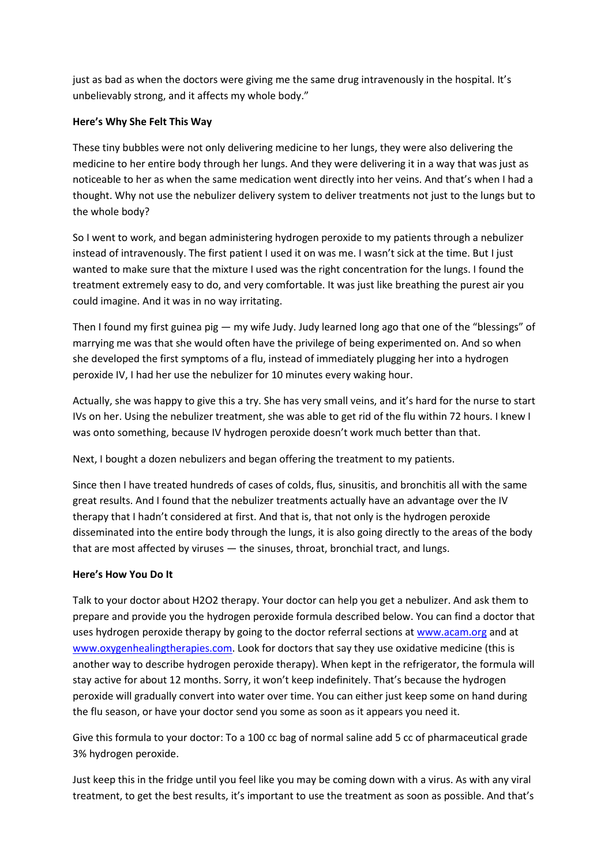just as bad as when the doctors were giving me the same drug intravenously in the hospital. It's unbelievably strong, and it affects my whole body."

## **Here's Why She Felt This Way**

These tiny bubbles were not only delivering medicine to her lungs, they were also delivering the medicine to her entire body through her lungs. And they were delivering it in a way that was just as noticeable to her as when the same medication went directly into her veins. And that's when I had a thought. Why not use the nebulizer delivery system to deliver treatments not just to the lungs but to the whole body?

So I went to work, and began administering hydrogen peroxide to my patients through a nebulizer instead of intravenously. The first patient I used it on was me. I wasn't sick at the time. But I just wanted to make sure that the mixture I used was the right concentration for the lungs. I found the treatment extremely easy to do, and very comfortable. It was just like breathing the purest air you could imagine. And it was in no way irritating.

Then I found my first guinea pig — my wife Judy. Judy learned long ago that one of the "blessings" of marrying me was that she would often have the privilege of being experimented on. And so when she developed the first symptoms of a flu, instead of immediately plugging her into a hydrogen peroxide IV, I had her use the nebulizer for 10 minutes every waking hour.

Actually, she was happy to give this a try. She has very small veins, and it's hard for the nurse to start IVs on her. Using the nebulizer treatment, she was able to get rid of the flu within 72 hours. I knew I was onto something, because IV hydrogen peroxide doesn't work much better than that.

Next, I bought a dozen nebulizers and began offering the treatment to my patients.

Since then I have treated hundreds of cases of colds, flus, sinusitis, and bronchitis all with the same great results. And I found that the nebulizer treatments actually have an advantage over the IV therapy that I hadn't considered at first. And that is, that not only is the hydrogen peroxide disseminated into the entire body through the lungs, it is also going directly to the areas of the body that are most affected by viruses — the sinuses, throat, bronchial tract, and lungs.

## **Here's How You Do It**

Talk to your doctor about H2O2 therapy. Your doctor can help you get a nebulizer. And ask them to prepare and provide you the hydrogen peroxide formula described below. You can find a doctor that uses hydrogen peroxide therapy by going to the doctor referral sections a[t www.acam.org](http://www.acam.org/) and at [www.oxygenhealingtherapies.com.](http://www.oxygenhealingtherapies.com/) Look for doctors that say they use oxidative medicine (this is another way to describe hydrogen peroxide therapy). When kept in the refrigerator, the formula will stay active for about 12 months. Sorry, it won't keep indefinitely. That's because the hydrogen peroxide will gradually convert into water over time. You can either just keep some on hand during the flu season, or have your doctor send you some as soon as it appears you need it.

Give this formula to your doctor: To a 100 cc bag of normal saline add 5 cc of pharmaceutical grade 3% hydrogen peroxide.

Just keep this in the fridge until you feel like you may be coming down with a virus. As with any viral treatment, to get the best results, it's important to use the treatment as soon as possible. And that's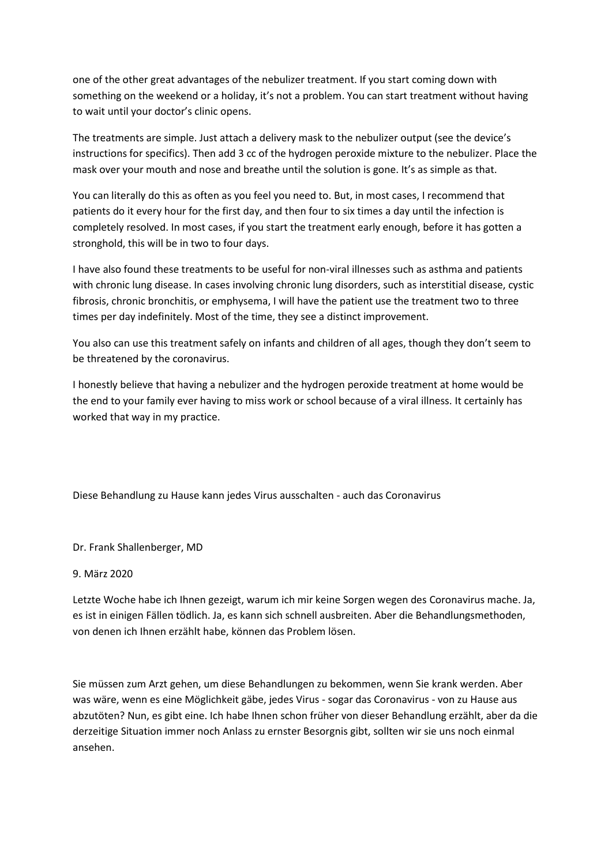one of the other great advantages of the nebulizer treatment. If you start coming down with something on the weekend or a holiday, it's not a problem. You can start treatment without having to wait until your doctor's clinic opens.

The treatments are simple. Just attach a delivery mask to the nebulizer output (see the device's instructions for specifics). Then add 3 cc of the hydrogen peroxide mixture to the nebulizer. Place the mask over your mouth and nose and breathe until the solution is gone. It's as simple as that.

You can literally do this as often as you feel you need to. But, in most cases, I recommend that patients do it every hour for the first day, and then four to six times a day until the infection is completely resolved. In most cases, if you start the treatment early enough, before it has gotten a stronghold, this will be in two to four days.

I have also found these treatments to be useful for non-viral illnesses such as asthma and patients with chronic lung disease. In cases involving chronic lung disorders, such as interstitial disease, cystic fibrosis, chronic bronchitis, or emphysema, I will have the patient use the treatment two to three times per day indefinitely. Most of the time, they see a distinct improvement.

You also can use this treatment safely on infants and children of all ages, though they don't seem to be threatened by the coronavirus.

I honestly believe that having a nebulizer and the hydrogen peroxide treatment at home would be the end to your family ever having to miss work or school because of a viral illness. It certainly has worked that way in my practice.

Diese Behandlung zu Hause kann jedes Virus ausschalten - auch das Coronavirus

Dr. Frank Shallenberger, MD

#### 9. März 2020

Letzte Woche habe ich Ihnen gezeigt, warum ich mir keine Sorgen wegen des Coronavirus mache. Ja, es ist in einigen Fällen tödlich. Ja, es kann sich schnell ausbreiten. Aber die Behandlungsmethoden, von denen ich Ihnen erzählt habe, können das Problem lösen.

Sie müssen zum Arzt gehen, um diese Behandlungen zu bekommen, wenn Sie krank werden. Aber was wäre, wenn es eine Möglichkeit gäbe, jedes Virus - sogar das Coronavirus - von zu Hause aus abzutöten? Nun, es gibt eine. Ich habe Ihnen schon früher von dieser Behandlung erzählt, aber da die derzeitige Situation immer noch Anlass zu ernster Besorgnis gibt, sollten wir sie uns noch einmal ansehen.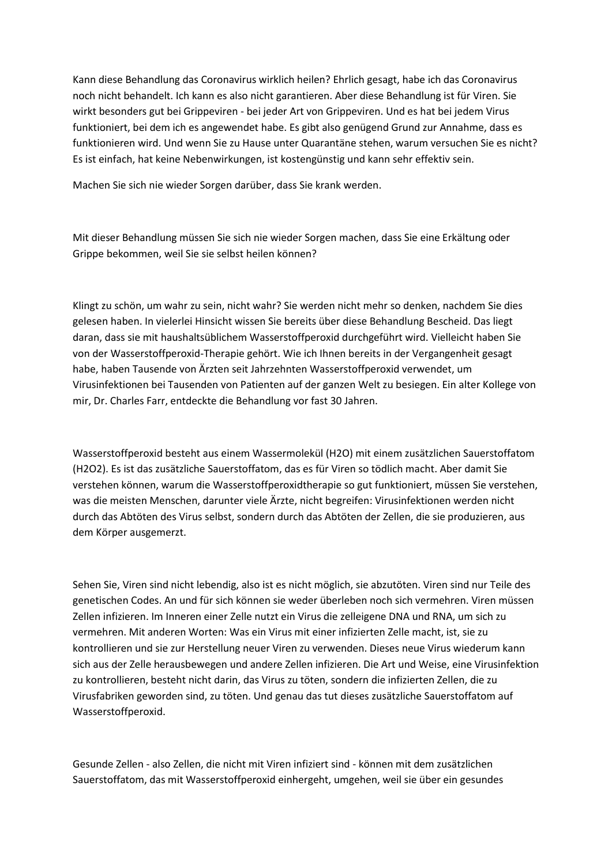Kann diese Behandlung das Coronavirus wirklich heilen? Ehrlich gesagt, habe ich das Coronavirus noch nicht behandelt. Ich kann es also nicht garantieren. Aber diese Behandlung ist für Viren. Sie wirkt besonders gut bei Grippeviren - bei jeder Art von Grippeviren. Und es hat bei jedem Virus funktioniert, bei dem ich es angewendet habe. Es gibt also genügend Grund zur Annahme, dass es funktionieren wird. Und wenn Sie zu Hause unter Quarantäne stehen, warum versuchen Sie es nicht? Es ist einfach, hat keine Nebenwirkungen, ist kostengünstig und kann sehr effektiv sein.

Machen Sie sich nie wieder Sorgen darüber, dass Sie krank werden.

Mit dieser Behandlung müssen Sie sich nie wieder Sorgen machen, dass Sie eine Erkältung oder Grippe bekommen, weil Sie sie selbst heilen können?

Klingt zu schön, um wahr zu sein, nicht wahr? Sie werden nicht mehr so denken, nachdem Sie dies gelesen haben. In vielerlei Hinsicht wissen Sie bereits über diese Behandlung Bescheid. Das liegt daran, dass sie mit haushaltsüblichem Wasserstoffperoxid durchgeführt wird. Vielleicht haben Sie von der Wasserstoffperoxid-Therapie gehört. Wie ich Ihnen bereits in der Vergangenheit gesagt habe, haben Tausende von Ärzten seit Jahrzehnten Wasserstoffperoxid verwendet, um Virusinfektionen bei Tausenden von Patienten auf der ganzen Welt zu besiegen. Ein alter Kollege von mir, Dr. Charles Farr, entdeckte die Behandlung vor fast 30 Jahren.

Wasserstoffperoxid besteht aus einem Wassermolekül (H2O) mit einem zusätzlichen Sauerstoffatom (H2O2). Es ist das zusätzliche Sauerstoffatom, das es für Viren so tödlich macht. Aber damit Sie verstehen können, warum die Wasserstoffperoxidtherapie so gut funktioniert, müssen Sie verstehen, was die meisten Menschen, darunter viele Ärzte, nicht begreifen: Virusinfektionen werden nicht durch das Abtöten des Virus selbst, sondern durch das Abtöten der Zellen, die sie produzieren, aus dem Körper ausgemerzt.

Sehen Sie, Viren sind nicht lebendig, also ist es nicht möglich, sie abzutöten. Viren sind nur Teile des genetischen Codes. An und für sich können sie weder überleben noch sich vermehren. Viren müssen Zellen infizieren. Im Inneren einer Zelle nutzt ein Virus die zelleigene DNA und RNA, um sich zu vermehren. Mit anderen Worten: Was ein Virus mit einer infizierten Zelle macht, ist, sie zu kontrollieren und sie zur Herstellung neuer Viren zu verwenden. Dieses neue Virus wiederum kann sich aus der Zelle herausbewegen und andere Zellen infizieren. Die Art und Weise, eine Virusinfektion zu kontrollieren, besteht nicht darin, das Virus zu töten, sondern die infizierten Zellen, die zu Virusfabriken geworden sind, zu töten. Und genau das tut dieses zusätzliche Sauerstoffatom auf Wasserstoffperoxid.

Gesunde Zellen - also Zellen, die nicht mit Viren infiziert sind - können mit dem zusätzlichen Sauerstoffatom, das mit Wasserstoffperoxid einhergeht, umgehen, weil sie über ein gesundes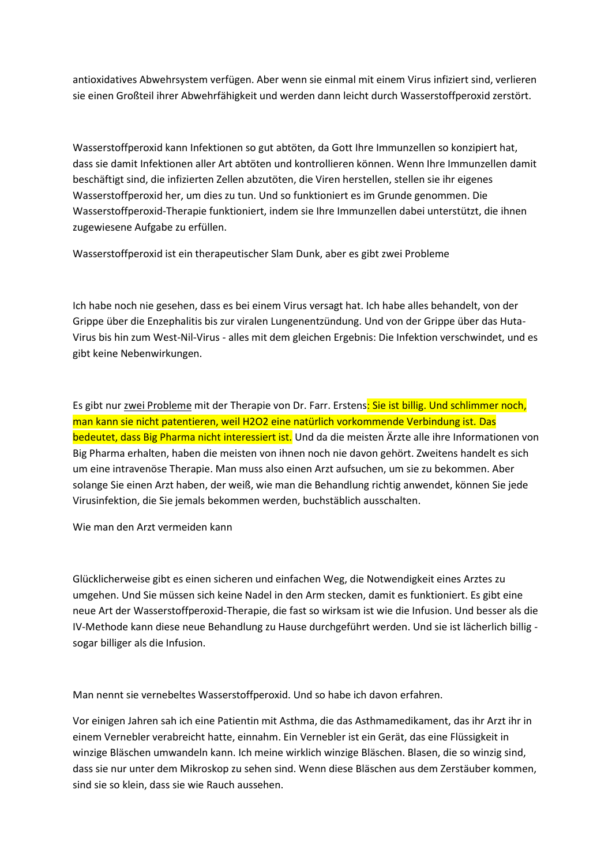antioxidatives Abwehrsystem verfügen. Aber wenn sie einmal mit einem Virus infiziert sind, verlieren sie einen Großteil ihrer Abwehrfähigkeit und werden dann leicht durch Wasserstoffperoxid zerstört.

Wasserstoffperoxid kann Infektionen so gut abtöten, da Gott Ihre Immunzellen so konzipiert hat, dass sie damit Infektionen aller Art abtöten und kontrollieren können. Wenn Ihre Immunzellen damit beschäftigt sind, die infizierten Zellen abzutöten, die Viren herstellen, stellen sie ihr eigenes Wasserstoffperoxid her, um dies zu tun. Und so funktioniert es im Grunde genommen. Die Wasserstoffperoxid-Therapie funktioniert, indem sie Ihre Immunzellen dabei unterstützt, die ihnen zugewiesene Aufgabe zu erfüllen.

Wasserstoffperoxid ist ein therapeutischer Slam Dunk, aber es gibt zwei Probleme

Ich habe noch nie gesehen, dass es bei einem Virus versagt hat. Ich habe alles behandelt, von der Grippe über die Enzephalitis bis zur viralen Lungenentzündung. Und von der Grippe über das Huta-Virus bis hin zum West-Nil-Virus - alles mit dem gleichen Ergebnis: Die Infektion verschwindet, und es gibt keine Nebenwirkungen.

Es gibt nur zwei Probleme mit der Therapie von Dr. Farr. Erstens: Sie ist billig. Und schlimmer noch, man kann sie nicht patentieren, weil H2O2 eine natürlich vorkommende Verbindung ist. Das bedeutet, dass Big Pharma nicht interessiert ist. Und da die meisten Ärzte alle ihre Informationen von Big Pharma erhalten, haben die meisten von ihnen noch nie davon gehört. Zweitens handelt es sich um eine intravenöse Therapie. Man muss also einen Arzt aufsuchen, um sie zu bekommen. Aber solange Sie einen Arzt haben, der weiß, wie man die Behandlung richtig anwendet, können Sie jede Virusinfektion, die Sie jemals bekommen werden, buchstäblich ausschalten.

Wie man den Arzt vermeiden kann

Glücklicherweise gibt es einen sicheren und einfachen Weg, die Notwendigkeit eines Arztes zu umgehen. Und Sie müssen sich keine Nadel in den Arm stecken, damit es funktioniert. Es gibt eine neue Art der Wasserstoffperoxid-Therapie, die fast so wirksam ist wie die Infusion. Und besser als die IV-Methode kann diese neue Behandlung zu Hause durchgeführt werden. Und sie ist lächerlich billig sogar billiger als die Infusion.

Man nennt sie vernebeltes Wasserstoffperoxid. Und so habe ich davon erfahren.

Vor einigen Jahren sah ich eine Patientin mit Asthma, die das Asthmamedikament, das ihr Arzt ihr in einem Vernebler verabreicht hatte, einnahm. Ein Vernebler ist ein Gerät, das eine Flüssigkeit in winzige Bläschen umwandeln kann. Ich meine wirklich winzige Bläschen. Blasen, die so winzig sind, dass sie nur unter dem Mikroskop zu sehen sind. Wenn diese Bläschen aus dem Zerstäuber kommen, sind sie so klein, dass sie wie Rauch aussehen.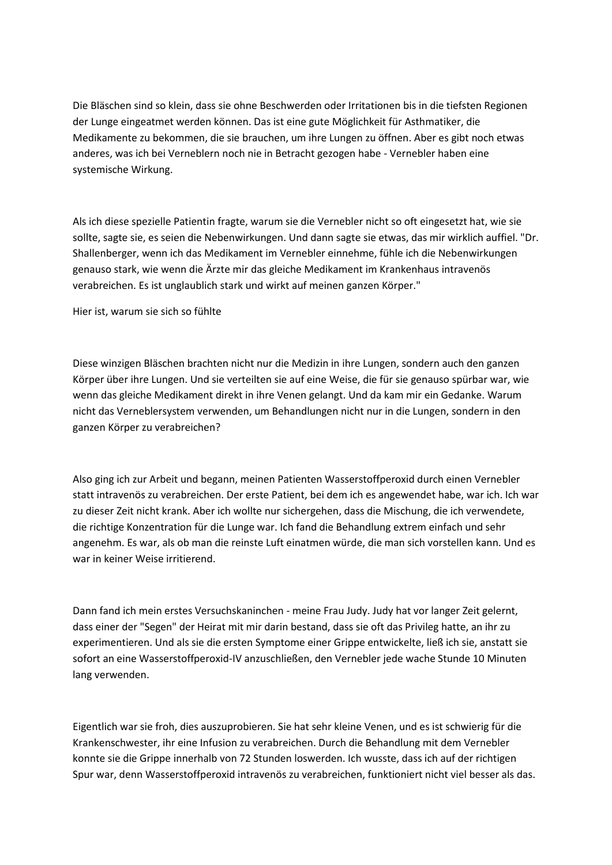Die Bläschen sind so klein, dass sie ohne Beschwerden oder Irritationen bis in die tiefsten Regionen der Lunge eingeatmet werden können. Das ist eine gute Möglichkeit für Asthmatiker, die Medikamente zu bekommen, die sie brauchen, um ihre Lungen zu öffnen. Aber es gibt noch etwas anderes, was ich bei Verneblern noch nie in Betracht gezogen habe - Vernebler haben eine systemische Wirkung.

Als ich diese spezielle Patientin fragte, warum sie die Vernebler nicht so oft eingesetzt hat, wie sie sollte, sagte sie, es seien die Nebenwirkungen. Und dann sagte sie etwas, das mir wirklich auffiel. "Dr. Shallenberger, wenn ich das Medikament im Vernebler einnehme, fühle ich die Nebenwirkungen genauso stark, wie wenn die Ärzte mir das gleiche Medikament im Krankenhaus intravenös verabreichen. Es ist unglaublich stark und wirkt auf meinen ganzen Körper."

Hier ist, warum sie sich so fühlte

Diese winzigen Bläschen brachten nicht nur die Medizin in ihre Lungen, sondern auch den ganzen Körper über ihre Lungen. Und sie verteilten sie auf eine Weise, die für sie genauso spürbar war, wie wenn das gleiche Medikament direkt in ihre Venen gelangt. Und da kam mir ein Gedanke. Warum nicht das Verneblersystem verwenden, um Behandlungen nicht nur in die Lungen, sondern in den ganzen Körper zu verabreichen?

Also ging ich zur Arbeit und begann, meinen Patienten Wasserstoffperoxid durch einen Vernebler statt intravenös zu verabreichen. Der erste Patient, bei dem ich es angewendet habe, war ich. Ich war zu dieser Zeit nicht krank. Aber ich wollte nur sichergehen, dass die Mischung, die ich verwendete, die richtige Konzentration für die Lunge war. Ich fand die Behandlung extrem einfach und sehr angenehm. Es war, als ob man die reinste Luft einatmen würde, die man sich vorstellen kann. Und es war in keiner Weise irritierend.

Dann fand ich mein erstes Versuchskaninchen - meine Frau Judy. Judy hat vor langer Zeit gelernt, dass einer der "Segen" der Heirat mit mir darin bestand, dass sie oft das Privileg hatte, an ihr zu experimentieren. Und als sie die ersten Symptome einer Grippe entwickelte, ließ ich sie, anstatt sie sofort an eine Wasserstoffperoxid-IV anzuschließen, den Vernebler jede wache Stunde 10 Minuten lang verwenden.

Eigentlich war sie froh, dies auszuprobieren. Sie hat sehr kleine Venen, und es ist schwierig für die Krankenschwester, ihr eine Infusion zu verabreichen. Durch die Behandlung mit dem Vernebler konnte sie die Grippe innerhalb von 72 Stunden loswerden. Ich wusste, dass ich auf der richtigen Spur war, denn Wasserstoffperoxid intravenös zu verabreichen, funktioniert nicht viel besser als das.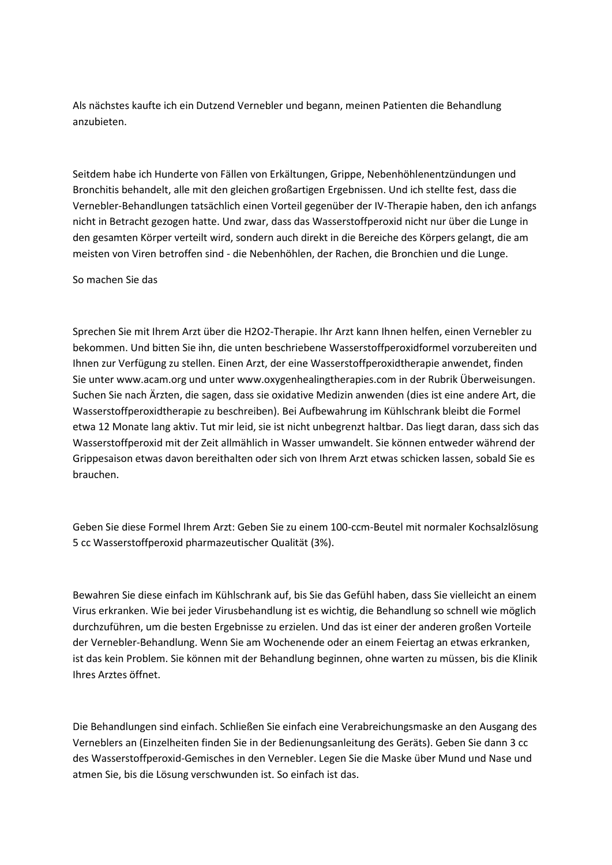Als nächstes kaufte ich ein Dutzend Vernebler und begann, meinen Patienten die Behandlung anzubieten.

Seitdem habe ich Hunderte von Fällen von Erkältungen, Grippe, Nebenhöhlenentzündungen und Bronchitis behandelt, alle mit den gleichen großartigen Ergebnissen. Und ich stellte fest, dass die Vernebler-Behandlungen tatsächlich einen Vorteil gegenüber der IV-Therapie haben, den ich anfangs nicht in Betracht gezogen hatte. Und zwar, dass das Wasserstoffperoxid nicht nur über die Lunge in den gesamten Körper verteilt wird, sondern auch direkt in die Bereiche des Körpers gelangt, die am meisten von Viren betroffen sind - die Nebenhöhlen, der Rachen, die Bronchien und die Lunge.

#### So machen Sie das

Sprechen Sie mit Ihrem Arzt über die H2O2-Therapie. Ihr Arzt kann Ihnen helfen, einen Vernebler zu bekommen. Und bitten Sie ihn, die unten beschriebene Wasserstoffperoxidformel vorzubereiten und Ihnen zur Verfügung zu stellen. Einen Arzt, der eine Wasserstoffperoxidtherapie anwendet, finden Sie unter www.acam.org und unter www.oxygenhealingtherapies.com in der Rubrik Überweisungen. Suchen Sie nach Ärzten, die sagen, dass sie oxidative Medizin anwenden (dies ist eine andere Art, die Wasserstoffperoxidtherapie zu beschreiben). Bei Aufbewahrung im Kühlschrank bleibt die Formel etwa 12 Monate lang aktiv. Tut mir leid, sie ist nicht unbegrenzt haltbar. Das liegt daran, dass sich das Wasserstoffperoxid mit der Zeit allmählich in Wasser umwandelt. Sie können entweder während der Grippesaison etwas davon bereithalten oder sich von Ihrem Arzt etwas schicken lassen, sobald Sie es brauchen.

Geben Sie diese Formel Ihrem Arzt: Geben Sie zu einem 100-ccm-Beutel mit normaler Kochsalzlösung 5 cc Wasserstoffperoxid pharmazeutischer Qualität (3%).

Bewahren Sie diese einfach im Kühlschrank auf, bis Sie das Gefühl haben, dass Sie vielleicht an einem Virus erkranken. Wie bei jeder Virusbehandlung ist es wichtig, die Behandlung so schnell wie möglich durchzuführen, um die besten Ergebnisse zu erzielen. Und das ist einer der anderen großen Vorteile der Vernebler-Behandlung. Wenn Sie am Wochenende oder an einem Feiertag an etwas erkranken, ist das kein Problem. Sie können mit der Behandlung beginnen, ohne warten zu müssen, bis die Klinik Ihres Arztes öffnet.

Die Behandlungen sind einfach. Schließen Sie einfach eine Verabreichungsmaske an den Ausgang des Verneblers an (Einzelheiten finden Sie in der Bedienungsanleitung des Geräts). Geben Sie dann 3 cc des Wasserstoffperoxid-Gemisches in den Vernebler. Legen Sie die Maske über Mund und Nase und atmen Sie, bis die Lösung verschwunden ist. So einfach ist das.